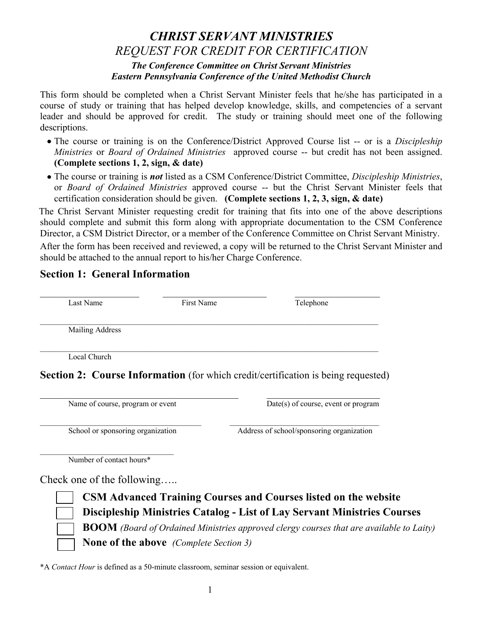## *CHRIST SERVANT MINISTRIES REQUEST FOR CREDIT FOR CERTIFICATION The Conference Committee on Christ Servant Ministries Eastern Pennsylvania Conference of the United Methodist Church*

This form should be completed when a Christ Servant Minister feels that he/she has participated in a course of study or training that has helped develop knowledge, skills, and competencies of a servant leader and should be approved for credit. The study or training should meet one of the following descriptions.

- The course or training is on the Conference/District Approved Course list -- or is a *Discipleship Ministries* or *Board of Ordained Ministries* approved course -- but credit has not been assigned. **(Complete sections 1, 2, sign, & date)**
- The course or training is *not* listed as a CSM Conference/District Committee, *Discipleship Ministries*, or *Board of Ordained Ministries* approved course -- but the Christ Servant Minister feels that certification consideration should be given. **(Complete sections 1, 2, 3, sign, & date)**

The Christ Servant Minister requesting credit for training that fits into one of the above descriptions should complete and submit this form along with appropriate documentation to the CSM Conference Director, a CSM District Director, or a member of the Conference Committee on Christ Servant Ministry.

After the form has been received and reviewed, a copy will be returned to the Christ Servant Minister and should be attached to the annual report to his/her Charge Conference.

## **Section 1: General Information**

| Last Name              | First Name | Telephone |  |
|------------------------|------------|-----------|--|
| <b>Mailing Address</b> |            |           |  |
| Local Church           |            |           |  |

**Section 2: Course Information** (for which credit/certification is being requested)

Name of course, program or event Date(s) of course, event or program

 $\mathcal{L}_\text{max}$ School or sponsoring organization Address of school/sponsoring organization

Number of contact hours\*

Check one of the following…..



**CSM Advanced Training Courses and Courses listed on the website Discipleship Ministries Catalog - List of Lay Servant Ministries Courses BOOM** *(Board of Ordained Ministries approved clergy courses that are available to Laity)* **None of the above** *(Complete Section 3)*

\*A *Contact Hour* is defined as a 50-minute classroom, seminar session or equivalent.